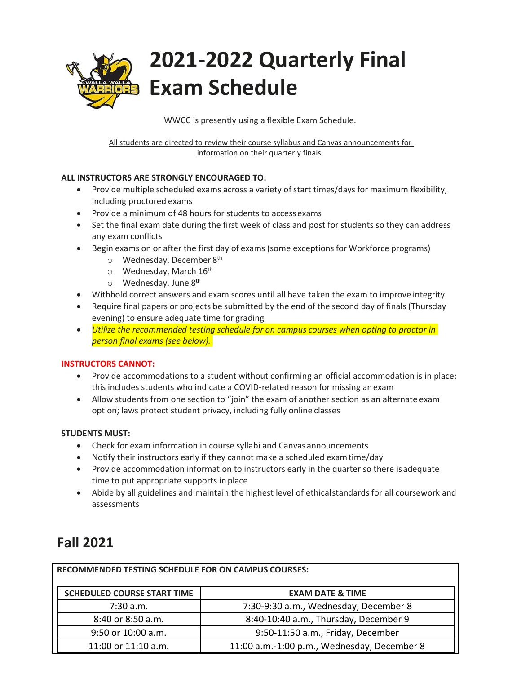

WWCC is presently using a flexible Exam Schedule.

All students are directed to review their course syllabus and Canvas announcements for information on their quarterly finals.

### **ALL INSTRUCTORS ARE STRONGLY ENCOURAGED TO:**

- Provide multiple scheduled exams across a variety of start times/days for maximum flexibility, including proctored exams
- Provide a minimum of 48 hours for students to access exams
- Set the final exam date during the first week of class and post for students so they can address any exam conflicts
- Begin exams on or after the first day of exams (some exceptions for Workforce programs)
	- o Wednesday, December 8<sup>th</sup>
	- $\circ$  Wednesday, March 16<sup>th</sup>
	- o Wednesday, June 8<sup>th</sup>
- Withhold correct answers and exam scores until all have taken the exam to improve integrity
- Require final papers or projects be submitted by the end of the second day of finals (Thursday evening) to ensure adequate time for grading
- *Utilize the recommended testing schedule for on campus courses when opting to proctor in person final exams (see below).*

### **INSTRUCTORS CANNOT:**

- Provide accommodations to a student without confirming an official accommodation is in place; this includes students who indicate a COVID-related reason for missing anexam
- Allow students from one section to "join" the exam of another section as an alternate exam option; laws protect student privacy, including fully online classes

### **STUDENTS MUST:**

- Check for exam information in course syllabi and Canvas announcements
- Notify their instructors early if they cannot make a scheduled examtime/day
- Provide accommodation information to instructors early in the quarter so there isadequate time to put appropriate supports in place
- Abide by all guidelines and maintain the highest level of ethicalstandards for all coursework and assessments

### **Fall 2021**

| <b>RECOMMENDED TESTING SCHEDULE FOR ON CAMPUS COURSES:</b> |                                             |  |  |  |
|------------------------------------------------------------|---------------------------------------------|--|--|--|
| <b>SCHEDULED COURSE START TIME</b>                         | <b>EXAM DATE &amp; TIME</b>                 |  |  |  |
| $7:30$ a.m.                                                | 7:30-9:30 a.m., Wednesday, December 8       |  |  |  |
| 8:40 or 8:50 a.m.                                          | 8:40-10:40 a.m., Thursday, December 9       |  |  |  |
| 9:50 or 10:00 a.m.                                         | 9:50-11:50 a.m., Friday, December           |  |  |  |
| 11:00 or 11:10 a.m.                                        | 11:00 a.m.-1:00 p.m., Wednesday, December 8 |  |  |  |